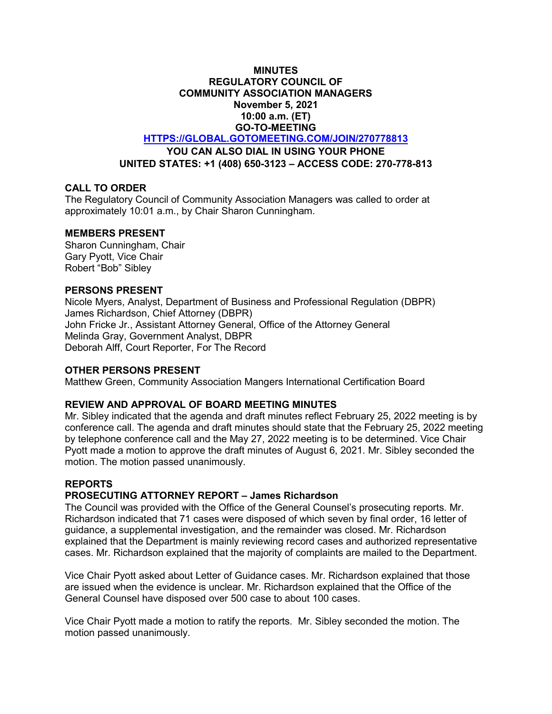## **MINUTES REGULATORY COUNCIL OF COMMUNITY ASSOCIATION MANAGERS November 5, 2021 10:00 a.m. (ET) GO-TO-MEETING**

**[HTTPS://GLOBAL.GOTOMEETING.COM/JOIN/270778813](https://global.gotomeeting.com/JOIN/270778813)**

**YOU CAN ALSO DIAL IN USING YOUR PHONE**

**UNITED STATES: +1 (408) 650-3123 – ACCESS CODE: 270-778-813**

# **CALL TO ORDER**

The Regulatory Council of Community Association Managers was called to order at approximately 10:01 a.m., by Chair Sharon Cunningham.

### **MEMBERS PRESENT**

Sharon Cunningham, Chair Gary Pyott, Vice Chair Robert "Bob" Sibley

### **PERSONS PRESENT**

Nicole Myers, Analyst, Department of Business and Professional Regulation (DBPR) James Richardson, Chief Attorney (DBPR) John Fricke Jr., Assistant Attorney General, Office of the Attorney General Melinda Gray, Government Analyst, DBPR Deborah Alff, Court Reporter, For The Record

### **OTHER PERSONS PRESENT**

Matthew Green, Community Association Mangers International Certification Board

# **REVIEW AND APPROVAL OF BOARD MEETING MINUTES**

Mr. Sibley indicated that the agenda and draft minutes reflect February 25, 2022 meeting is by conference call. The agenda and draft minutes should state that the February 25, 2022 meeting by telephone conference call and the May 27, 2022 meeting is to be determined. Vice Chair Pyott made a motion to approve the draft minutes of August 6, 2021. Mr. Sibley seconded the motion. The motion passed unanimously.

### **REPORTS**

# **PROSECUTING ATTORNEY REPORT – James Richardson**

The Council was provided with the Office of the General Counsel's prosecuting reports. Mr. Richardson indicated that 71 cases were disposed of which seven by final order, 16 letter of guidance, a supplemental investigation, and the remainder was closed. Mr. Richardson explained that the Department is mainly reviewing record cases and authorized representative cases. Mr. Richardson explained that the majority of complaints are mailed to the Department.

Vice Chair Pyott asked about Letter of Guidance cases. Mr. Richardson explained that those are issued when the evidence is unclear. Mr. Richardson explained that the Office of the General Counsel have disposed over 500 case to about 100 cases.

Vice Chair Pyott made a motion to ratify the reports. Mr. Sibley seconded the motion. The motion passed unanimously.